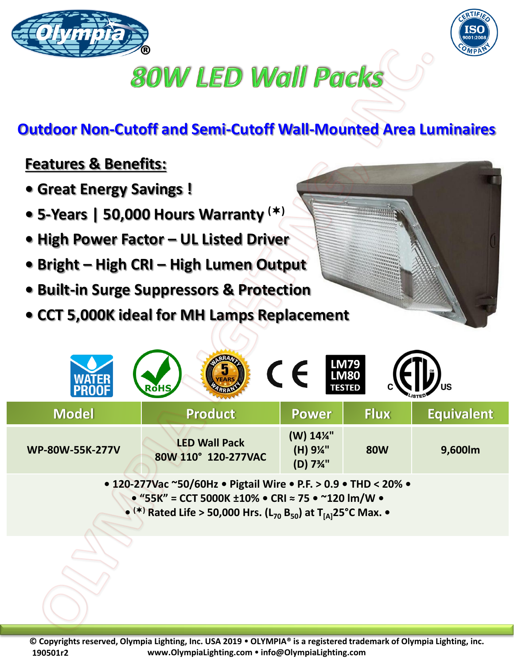



## **80W LED Wall Packs**

## **Outdoor Non-Cutoff and Semi-Cutoff Wall-Mounted Area Luminaires**

## **Features & Benefits:**

- **Great Energy Savings !**
- **5-Years | 50,000 Hours Warranty ()**
- **High Power Factor – UL Listed Driver**
- **Bright – High CRI – High Lumen Output**
- **Built-in Surge Suppressors & Protection**
- **CCT 5,000K ideal for MH Lamps Replacement**

|                        | <b>RoHS</b>                                 |                                                            | <b>LM79<br/>LM80</b><br><b>TESTED</b> | US                |
|------------------------|---------------------------------------------|------------------------------------------------------------|---------------------------------------|-------------------|
| <b>Model</b>           | <b>Product</b>                              | <b>Power</b>                                               | <b>Flux</b>                           | <b>Equivalent</b> |
| <b>WP-80W-55K-277V</b> | <b>LED Wall Pack</b><br>80W 110° 120-277VAC | (W) 14%"<br>(H) 9¼"<br>(D) 7 <sup>3</sup> / <sub>4</sub> " | <b>80W</b>                            | 9,600lm           |

**• 120-277Vac ~50/60Hz • Pigtail Wire • P.F. > 0.9 • THD < 20% • • "55K" = CCT 5000K ±10% • CRI ≈ 75 • ~120 lm/W • • () Rated Life > 50,000 Hrs. (L<sup>70</sup> B50) at T[A]25°C Max. •**

**© Copyrights reserved, Olympia Lighting, Inc. USA 2019 OLYMPIA® is a registered trademark of Olympia Lighting, inc. www.OlympiaLighting.com info@OlympiaLighting.com 190501r2**